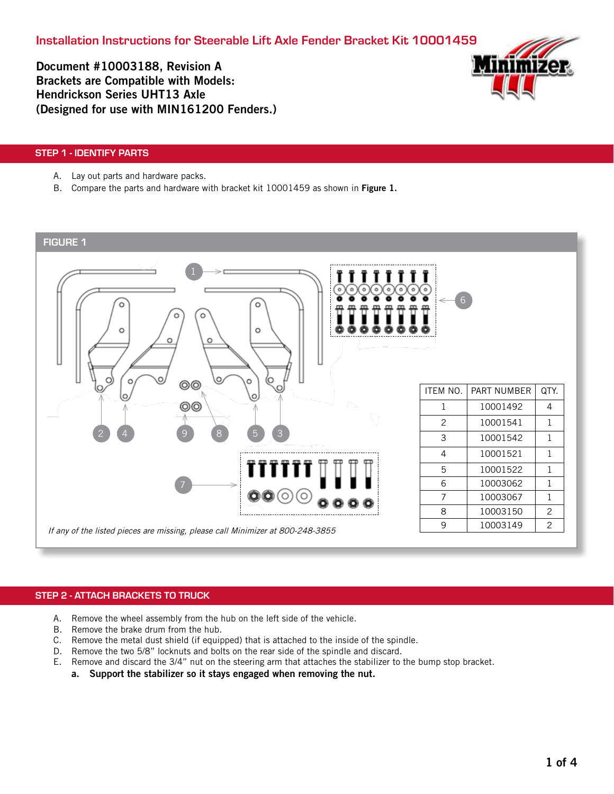Installation Instructions for Steerable Lift Axle Fender Bracket Kit 10001459

Document #10003188, Revision A Brackets are Compatible with Models: Hendrickson Series UHT13 Axle (Designed for use with MIN161200 Fenders.)



### STEP 1 - IDENTIFY PARTS

- A. Lay out parts and hardware packs.
- B. Compare the parts and hardware with bracket kit 10001459 as shown in Figure 1.





## STEP 2 - ATTACH BRACKETS TO TRUCK

- A. Remove the wheel assembly from the hub on the left side of the vehicle.
- B. Remove the brake drum from the hub.
- C. Remove the metal dust shield (if equipped) that is attached to the inside of the spindle.
- D. Remove the two 5/8" locknuts and bolts on the rear side of the spindle and discard.
- E. Remove and discard the 3/4" nut on the steering arm that attaches the stabilizer to the bump stop bracket.
	- a. Support the stabilizer so it stays engaged when removing the nut.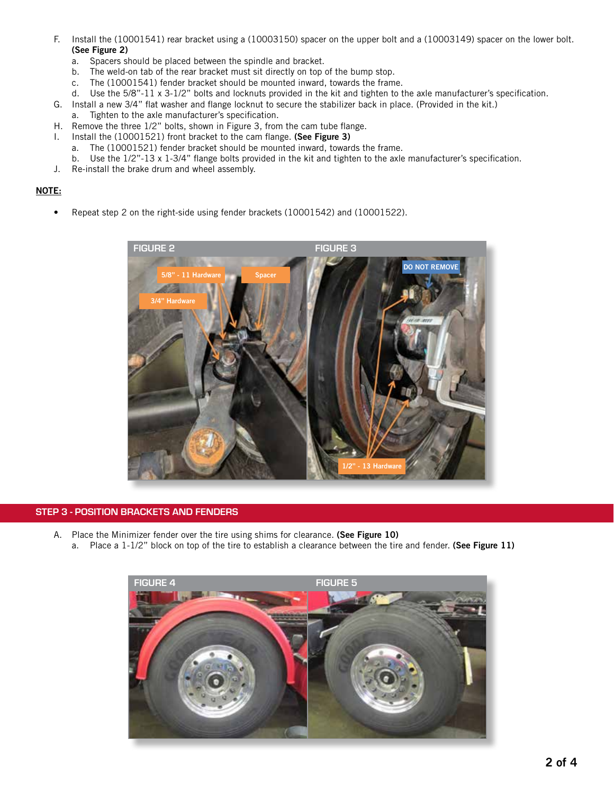- F. Install the (10001541) rear bracket using a (10003150) spacer on the upper bolt and a (10003149) spacer on the lower bolt. (See Figure 2)
	- a. Spacers should be placed between the spindle and bracket.
	- b. The weld-on tab of the rear bracket must sit directly on top of the bump stop.
	- c. The (10001541) fender bracket should be mounted inward, towards the frame.
	- d. Use the 5/8"-11 x 3-1/2" bolts and locknuts provided in the kit and tighten to the axle manufacturer's specification.
- G. Install a new 3/4" flat washer and flange locknut to secure the stabilizer back in place. (Provided in the kit.)
	- a. Tighten to the axle manufacturer's specification.
- H. Remove the three 1/2" bolts, shown in Figure 3, from the cam tube flange.
- I. Install the (10001521) front bracket to the cam flange. (See Figure 3)
	- a. The (10001521) fender bracket should be mounted inward, towards the frame.
- b. Use the 1/2"-13 x 1-3/4" flange bolts provided in the kit and tighten to the axle manufacturer's specification.
- J. Re-install the brake drum and wheel assembly.

## NOTE:

• Repeat step 2 on the right-side using fender brackets (10001542) and (10001522).



#### STEP 3 - POSITION BRACKETS AND FENDERS

- A. Place the Minimizer fender over the tire using shims for clearance. (See Figure 10)
	- a. Place a 1-1/2" block on top of the tire to establish a clearance between the tire and fender. (See Figure 11)

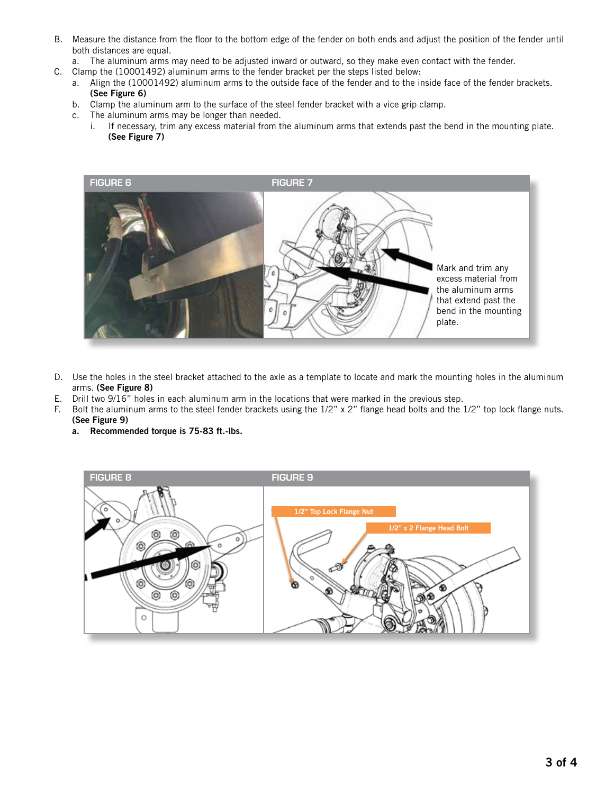- B. Measure the distance from the floor to the bottom edge of the fender on both ends and adjust the position of the fender until both distances are equal.
- a. The aluminum arms may need to be adjusted inward or outward, so they make even contact with the fender.
- C. Clamp the (10001492) aluminum arms to the fender bracket per the steps listed below:
	- a. Align the (10001492) aluminum arms to the outside face of the fender and to the inside face of the fender brackets. (See Figure 6)
	- b. Clamp the aluminum arm to the surface of the steel fender bracket with a vice grip clamp.
	- c. The aluminum arms may be longer than needed.
		- i. If necessary, trim any excess material from the aluminum arms that extends past the bend in the mounting plate. (See Figure 7)



- D. Use the holes in the steel bracket attached to the axle as a template to locate and mark the mounting holes in the aluminum arms. (See Figure 8)
- E. Drill two 9/16" holes in each aluminum arm in the locations that were marked in the previous step.
- F. Bolt the aluminum arms to the steel fender brackets using the 1/2" x 2" flange head bolts and the 1/2" top lock flange nuts. (See Figure 9)
	- a. Recommended torque is 75-83 ft.-lbs.